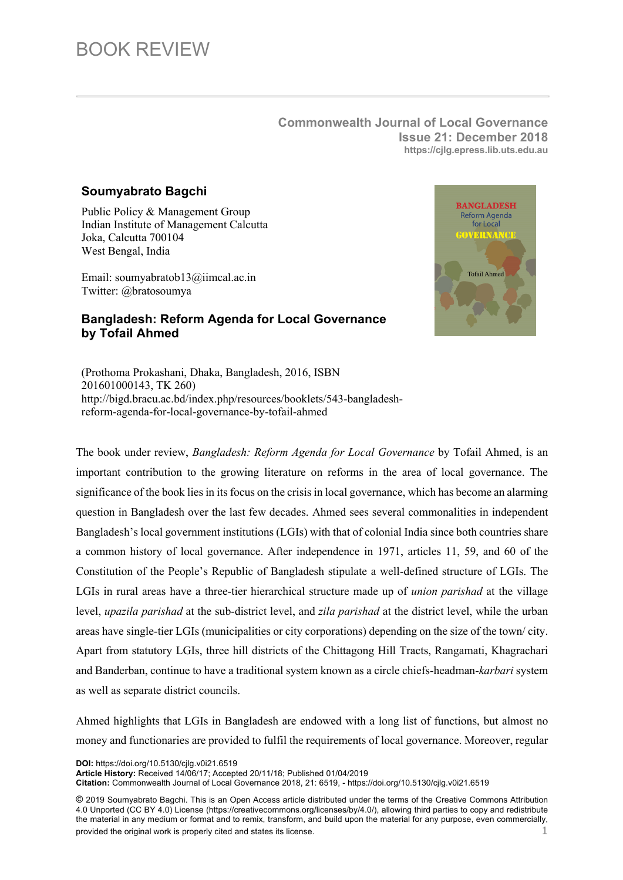### **Commonwealth Journal of Local Governance Issue 21: December 2018 https://cjlg.epress.lib.uts.edu.au**

# **Soumyabrato Bagchi**

Public Policy & Management Group Indian Institute of Management Calcutta Joka, Calcutta 700104 West Bengal, India

Email: soumyabratob13@iimcal.ac.in Twitter: @bratosoumya

## **Bangladesh: Reform Agenda for Local Governance by Tofail Ahmed**



(Prothoma Prokashani, Dhaka, Bangladesh, 2016, ISBN 201601000143, TK 260) http://bigd.bracu.ac.bd/index.php/resources/booklets/543-bangladeshreform-agenda-for-local-governance-by-tofail-ahmed

The book under review, *Bangladesh: Reform Agenda for Local Governance* by Tofail Ahmed, is an important contribution to the growing literature on reforms in the area of local governance. The significance of the book lies in its focus on the crisis in local governance, which has become an alarming question in Bangladesh over the last few decades. Ahmed sees several commonalities in independent Bangladesh's local government institutions (LGIs) with that of colonial India since both countries share a common history of local governance. After independence in 1971, articles 11, 59, and 60 of the Constitution of the People's Republic of Bangladesh stipulate a well-defined structure of LGIs. The LGIs in rural areas have a three-tier hierarchical structure made up of *union parishad* at the village level, *upazila parishad* at the sub-district level, and *zila parishad* at the district level, while the urban areas have single-tier LGIs (municipalities or city corporations) depending on the size of the town/ city. Apart from statutory LGIs, three hill districts of the Chittagong Hill Tracts, Rangamati, Khagrachari and Banderban, continue to have a traditional system known as a circle chiefs-headman-*karbari* system as well as separate district councils.

Ahmed highlights that LGIs in Bangladesh are endowed with a long list of functions, but almost no money and functionaries are provided to fulfil the requirements of local governance. Moreover, regular

**DOI:** https://doi.org/10.5130/cjlg.v0i21.6519

**Article History:** Received 14/06/17; Accepted 20/11/18; Published 01/04/2019

**Citation:** Commonwealth Journal of Local Governance 2018, 21: 6519, - https://doi.org/10.5130/cjlg.v0i21.6519

© 2019 Soumyabrato Bagchi. This is an Open Access article distributed under the terms of the Creative Commons Attribution 4.0 Unported (CC BY 4.0) License (https://creativecommons.org/licenses/by/4.0/), allowing third parties to copy and redistribute the material in any medium or format and to remix, transform, and build upon the material for any purpose, even commercially, provided the original work is properly cited and states its license.  $1$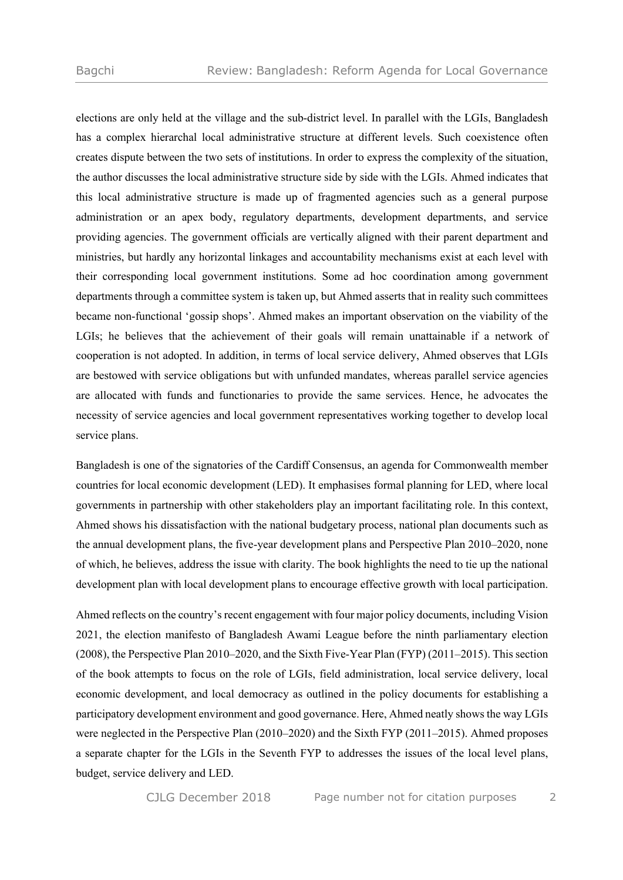elections are only held at the village and the sub-district level. In parallel with the LGIs, Bangladesh has a complex hierarchal local administrative structure at different levels. Such coexistence often creates dispute between the two sets of institutions. In order to express the complexity of the situation, the author discusses the local administrative structure side by side with the LGIs. Ahmed indicates that this local administrative structure is made up of fragmented agencies such as a general purpose administration or an apex body, regulatory departments, development departments, and service providing agencies. The government officials are vertically aligned with their parent department and ministries, but hardly any horizontal linkages and accountability mechanisms exist at each level with their corresponding local government institutions. Some ad hoc coordination among government departments through a committee system is taken up, but Ahmed asserts that in reality such committees became non-functional 'gossip shops'. Ahmed makes an important observation on the viability of the LGIs; he believes that the achievement of their goals will remain unattainable if a network of cooperation is not adopted. In addition, in terms of local service delivery, Ahmed observes that LGIs are bestowed with service obligations but with unfunded mandates, whereas parallel service agencies are allocated with funds and functionaries to provide the same services. Hence, he advocates the necessity of service agencies and local government representatives working together to develop local service plans.

Bangladesh is one of the signatories of the Cardiff Consensus, an agenda for Commonwealth member countries for local economic development (LED). It emphasises formal planning for LED, where local governments in partnership with other stakeholders play an important facilitating role. In this context, Ahmed shows his dissatisfaction with the national budgetary process, national plan documents such as the annual development plans, the five-year development plans and Perspective Plan 2010–2020, none of which, he believes, address the issue with clarity. The book highlights the need to tie up the national development plan with local development plans to encourage effective growth with local participation.

Ahmed reflects on the country's recent engagement with four major policy documents, including Vision 2021, the election manifesto of Bangladesh Awami League before the ninth parliamentary election (2008), the Perspective Plan 2010–2020, and the Sixth Five-Year Plan (FYP) (2011–2015). This section of the book attempts to focus on the role of LGIs, field administration, local service delivery, local economic development, and local democracy as outlined in the policy documents for establishing a participatory development environment and good governance. Here, Ahmed neatly shows the way LGIs were neglected in the Perspective Plan (2010–2020) and the Sixth FYP (2011–2015). Ahmed proposes a separate chapter for the LGIs in the Seventh FYP to addresses the issues of the local level plans, budget, service delivery and LED.

CJLG December 2018 Page number not for citation purposes 2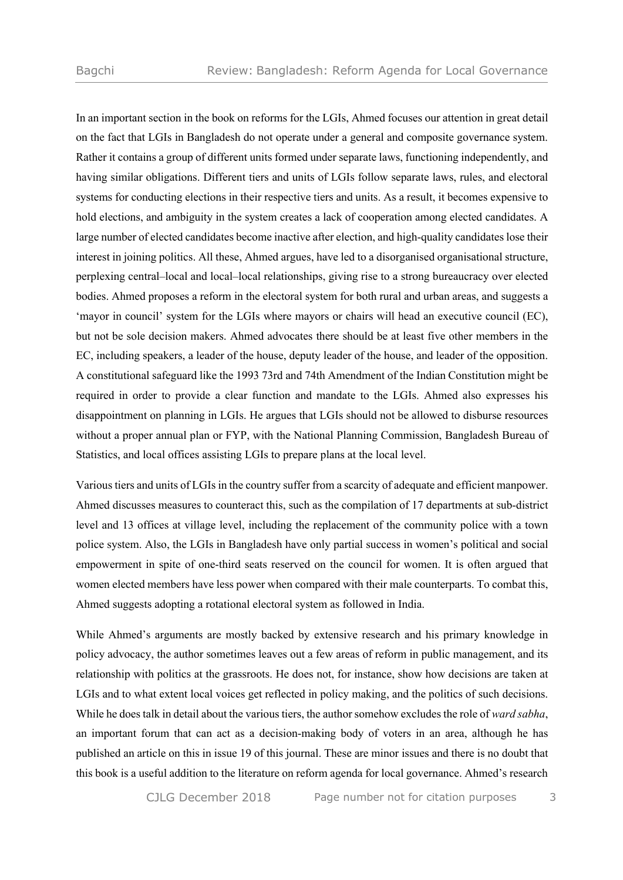In an important section in the book on reforms for the LGIs, Ahmed focuses our attention in great detail on the fact that LGIs in Bangladesh do not operate under a general and composite governance system. Rather it contains a group of different units formed under separate laws, functioning independently, and having similar obligations. Different tiers and units of LGIs follow separate laws, rules, and electoral systems for conducting elections in their respective tiers and units. As a result, it becomes expensive to hold elections, and ambiguity in the system creates a lack of cooperation among elected candidates. A large number of elected candidates become inactive after election, and high-quality candidates lose their interest in joining politics. All these, Ahmed argues, have led to a disorganised organisational structure, perplexing central–local and local–local relationships, giving rise to a strong bureaucracy over elected bodies. Ahmed proposes a reform in the electoral system for both rural and urban areas, and suggests a 'mayor in council' system for the LGIs where mayors or chairs will head an executive council (EC), but not be sole decision makers. Ahmed advocates there should be at least five other members in the EC, including speakers, a leader of the house, deputy leader of the house, and leader of the opposition. A constitutional safeguard like the 1993 73rd and 74th Amendment of the Indian Constitution might be required in order to provide a clear function and mandate to the LGIs. Ahmed also expresses his disappointment on planning in LGIs. He argues that LGIs should not be allowed to disburse resources without a proper annual plan or FYP, with the National Planning Commission, Bangladesh Bureau of Statistics, and local offices assisting LGIs to prepare plans at the local level.

Various tiers and units of LGIs in the country suffer from a scarcity of adequate and efficient manpower. Ahmed discusses measures to counteract this, such as the compilation of 17 departments at sub-district level and 13 offices at village level, including the replacement of the community police with a town police system. Also, the LGIs in Bangladesh have only partial success in women's political and social empowerment in spite of one-third seats reserved on the council for women. It is often argued that women elected members have less power when compared with their male counterparts. To combat this, Ahmed suggests adopting a rotational electoral system as followed in India.

While Ahmed's arguments are mostly backed by extensive research and his primary knowledge in policy advocacy, the author sometimes leaves out a few areas of reform in public management, and its relationship with politics at the grassroots. He does not, for instance, show how decisions are taken at LGIs and to what extent local voices get reflected in policy making, and the politics of such decisions. While he does talk in detail about the various tiers, the author somehow excludes the role of *ward sabha*, an important forum that can act as a decision-making body of voters in an area, although he has published an article on this in issue 19 of this journal. These are minor issues and there is no doubt that this book is a useful addition to the literature on reform agenda for local governance. Ahmed's research